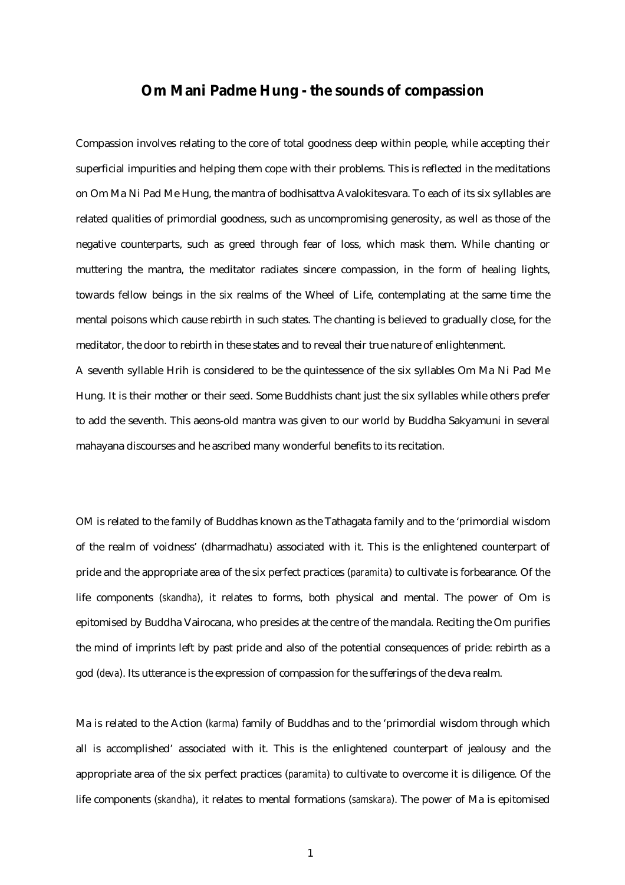## **Om Mani Padme Hung - the sounds of compassion**

Compassion involves relating to the core of total goodness deep within people, while accepting their superficial impurities and helping them cope with their problems. This is reflected in the meditations on Om Ma Ni Pad Me Hung, the mantra of bodhisattva Avalokitesvara. To each of its six syllables are related qualities of primordial goodness, such as uncompromising generosity, as well as those of the negative counterparts, such as greed through fear of loss, which mask them. While chanting or muttering the mantra, the meditator radiates sincere compassion, in the form of healing lights, towards fellow beings in the six realms of the Wheel of Life, contemplating at the same time the mental poisons which cause rebirth in such states. The chanting is believed to gradually close, for the meditator, the door to rebirth in these states and to reveal their true nature of enlightenment.

A seventh syllable Hrih is considered to be the quintessence of the six syllables Om Ma Ni Pad Me Hung. It is their mother or their seed. Some Buddhists chant just the six syllables while others prefer to add the seventh. This aeons-old mantra was given to our world by Buddha Sakyamuni in several mahayana discourses and he ascribed many wonderful benefits to its recitation.

OM is related to the family of Buddhas known as the Tathagata family and to the 'primordial wisdom of the realm of voidness' (dharmadhatu) associated with it. This is the enlightened counterpart of pride and the appropriate area of the six perfect practices (*paramita*) to cultivate is forbearance. Of the life components (*skandha*), it relates to forms, both physical and mental. The power of Om is epitomised by Buddha Vairocana, who presides at the centre of the mandala. Reciting the Om purifies the mind of imprints left by past pride and also of the potential consequences of pride: rebirth as a god (*deva*). Its utterance is the expression of compassion for the sufferings of the deva realm.

Ma is related to the Action (*karma*) family of Buddhas and to the 'primordial wisdom through which all is accomplished' associated with it. This is the enlightened counterpart of jealousy and the appropriate area of the six perfect practices (*paramita*) to cultivate to overcome it is diligence. Of the life components (*skandha*), it relates to mental formations (*samskara*). The power of Ma is epitomised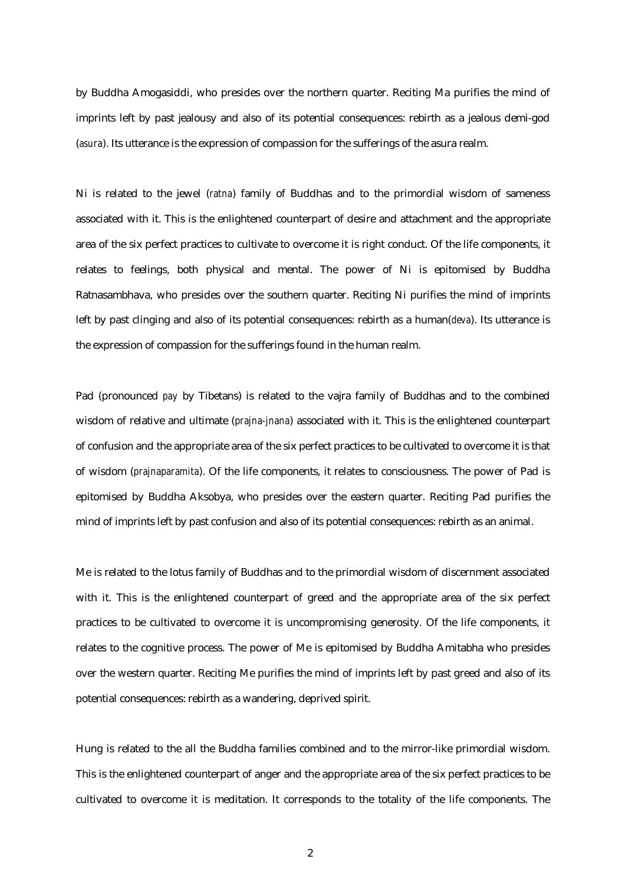by Buddha Amogasiddi, who presides over the northern quarter. Reciting Ma purifies the mind of imprints left by past jealousy and also of its potential consequences: rebirth as a jealous demi-god (*asura*). Its utterance is the expression of compassion for the sufferings of the asura realm.

Ni is related to the jewel (*ratna*) family of Buddhas and to the primordial wisdom of sameness associated with it. This is the enlightened counterpart of desire and attachment and the appropriate area of the six perfect practices to cultivate to overcome it is right conduct. Of the life components, it relates to feelings, both physical and mental. The power of Ni is epitomised by Buddha Ratnasambhava, who presides over the southern quarter. Reciting Ni purifies the mind of imprints left by past clinging and also of its potential consequences: rebirth as a human(*deva*). Its utterance is the expression of compassion for the sufferings found in the human realm.

Pad (pronounced *pay* by Tibetans) is related to the vajra family of Buddhas and to the combined wisdom of relative and ultimate (*prajna-jnana*) associated with it. This is the enlightened counterpart of confusion and the appropriate area of the six perfect practices to be cultivated to overcome it is that of wisdom (*prajnaparamita*). Of the life components, it relates to consciousness. The power of Pad is epitomised by Buddha Aksobya, who presides over the eastern quarter. Reciting Pad purifies the mind of imprints left by past confusion and also of its potential consequences: rebirth as an animal.

Me is related to the lotus family of Buddhas and to the primordial wisdom of discernment associated with it. This is the enlightened counterpart of greed and the appropriate area of the six perfect practices to be cultivated to overcome it is uncompromising generosity. Of the life components, it relates to the cognitive process. The power of Me is epitomised by Buddha Amitabha who presides over the western quarter. Reciting Me purifies the mind of imprints left by past greed and also of its potential consequences: rebirth as a wandering, deprived spirit.

Hung is related to the all the Buddha families combined and to the mirror-like primordial wisdom. This is the enlightened counterpart of anger and the appropriate area of the six perfect practices to be cultivated to overcome it is meditation. It corresponds to the totality of the life components. The